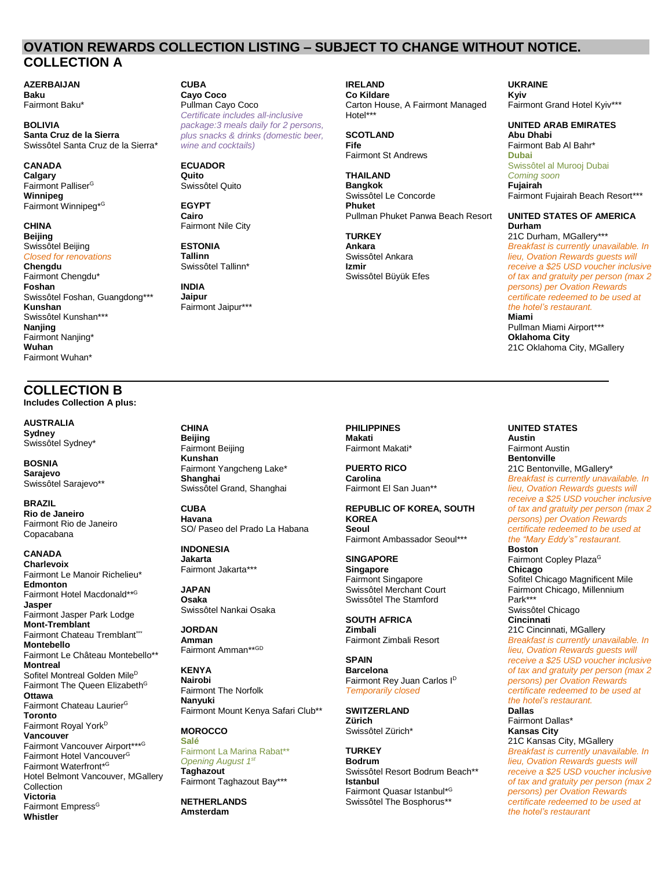## **OVATION REWARDS COLLECTION LISTING – SUBJECT TO CHANGE WITHOUT NOTICE. COLLECTION A**

**CUBA Cayo Coco** Pullman Cayo Coco

*Certificate includes all-inclusive package:3 meals daily for 2 persons, plus snacks & drinks (domestic beer,* 

*wine and cocktails)*

Fairmont Nile City

Fairmont Jaipur\*\*\*

**ECUADOR Quito**  Swissôtel Quito

**EGYPT Cairo**

**ESTONIA Tallinn** Swissôtel Tallinn\*

**INDIA Jaipur**

**AZERBAIJAN Baku** Fairmont Baku\*

**BOLIVIA Santa Cruz de la Sierra** Swissôtel Santa Cruz de la Sierra\*

**CANADA Calgary**  Fairmont Palliser<sup>G</sup> **Winnipeg** Fairmont Winnipeg\*<sup>G</sup>

### **CHINA Beijing**

Swissôtel Beijing *Closed for renovations*

**Chengdu**

Fairmont Chengdu\* **Foshan**  Swissôtel Foshan, Guangdong\*\*\* **Kunshan** Swissôtel Kunshan\*\*\* **Nanjing** Fairmont Nanjing\* **Wuhan** Fairmont Wuhan\*

# **COLLECTION B**

**Includes Collection A plus:**

**AUSTRALIA Sydney** Swissôtel Sydney\*

**BOSNIA Sarajevo** Swissôtel Sarajevo\*\*

**BRAZIL Rio de Janeiro** Fairmont Rio de Janeiro Copacabana

**CANADA Charlevoix** Fairmont Le Manoir Richelieu\* **Edmonton** Fairmont Hotel Macdonald\*\*<sup>G</sup> **Jasper** Fairmont Jasper Park Lodge **Mont-Tremblant** Fairmont Chateau Tremblant\*\*\* **Montebello** Fairmont Le Château Montebello\*\* **Montreal**  Sofitel Montreal Golden Mile<sup>D</sup> Fairmont The Queen Elizabeth<sup>G</sup> **Ottawa** Fairmont Chateau Laurier<sup>G</sup> **Toronto**  Fairmont Royal York<sup>D</sup> **Vancouver** Fairmont Vancouver Airport\*\*\*<sup>G</sup> Fairmont Hotel Vancouver<sup>G</sup> Fairmont Waterfront\*<sup>G</sup> Hotel Belmont Vancouver, MGallery **Collection** 

**Victoria**  Fairmont Empress<sup>G</sup> **Whistler**

**CHINA Beijing** Fairmont Beijing **Kunshan**  Fairmont Yangcheng Lake\* **Shanghai** Swissôtel Grand, Shanghai

**CUBA Havana** SO/ Paseo del Prado La Habana

**INDONESIA Jakarta** Fairmont Jakarta\*\*\*

**JAPAN Osaka** Swissôtel Nankai Osaka

**JORDAN Amman** Fairmont Amman\*\*<sup>GD</sup>

**KENYA Nairobi** Fairmont The Norfolk **Nanyuki** Fairmont Mount Kenya Safari Club\*\*

#### **MOROCCO Salé**

Fairmont La Marina Rabat\*\* *Opening August 1st* **Taghazout** Fairmont Taghazout Bay\*\*\*

**NETHERLANDS Amsterdam**

**IRELAND Co Kildare** Carton House, A Fairmont Managed Hotel\*\*\*

**SCOTLAND Fife** Fairmont St Andrews

**THAILAND Bangkok** Swissôtel Le Concorde **Phuket** Pullman Phuket Panwa Beach Resort

**TURKEY Ankara** Swissôtel Ankara **Izmir** Swissôtel Büyük Efes **UKRAINE Kyiv** Fairmont Grand Hotel Kyiv\*\*\*

**UNITED ARAB EMIRATES Abu Dhabi** Fairmont Bab Al Bahr\* **Dubai** Swissôtel al Murooj Dubai *Coming soon* **Fujairah** Fairmont Fujairah Beach Resort\*\*\*

**UNITED STATES OF AMERICA Durham** 21C Durham, MGallery\*\*\* *Breakfast is currently unavailable. In lieu, Ovation Rewards guests will receive a \$25 USD voucher inclusive* 

*of tax and gratuity per person (max 2 persons) per Ovation Rewards certificate redeemed to be used at the hotel's restaurant.* **Miami** Pullman Miami Airport\*\*\* **Oklahoma City** 21C Oklahoma City, MGallery

**PHILIPPINES Makati** Fairmont Makati\*

**PUERTO RICO Carolina** Fairmont El San Juan\*\*

**REPUBLIC OF KOREA, SOUTH KOREA Seoul** Fairmont Ambassador Seoul\*\*\*

**SINGAPORE Singapore** Fairmont Singapore Swissôtel Merchant Court Swissôtel The Stamford

**SOUTH AFRICA Zimbali** Fairmont Zimbali Resort

**SPAIN Barcelona** Fairmont Rey Juan Carlos I<sup>D</sup> *Temporarily closed*

**SWITZERLAND Zürich** Swissôtel Zürich\*

**TURKEY Bodrum** Swissôtel Resort Bodrum Beach\*\* **Istanbul** Fairmont Quasar Istanbul\* G Swissôtel The Bosphorus\*\*

**UNITED STATES Austin** Fairmont Austin **Bentonville** 21C Bentonville, MGallery\* *Breakfast is currently unavailable. In lieu, Ovation Rewards guests will receive a \$25 USD voucher inclusive of tax and gratuity per person (max 2 persons) per Ovation Rewards certificate redeemed to be used at the "Mary Eddy's" restaurant.* **Boston** Fairmont Copley Plaza<sup>G</sup> **Chicago** Sofitel Chicago Magnificent Mile Fairmont Chicago, Millennium Park\*\*\* Swissôtel Chicago **Cincinnati** 21C Cincinnati, MGallery *Breakfast is currently unavailable. In lieu, Ovation Rewards guests will receive a \$25 USD voucher inclusive of tax and gratuity per person (max 2 persons) per Ovation Rewards certificate redeemed to be used at the hotel's restaurant.*  **Dallas** Fairmont Dallas\*

**Kansas City** 21C Kansas City, MGallery *Breakfast is currently unavailable. In lieu, Ovation Rewards guests will receive a \$25 USD voucher inclusive of tax and gratuity per person (max 2 persons) per Ovation Rewards certificate redeemed to be used at the hotel's restaurant*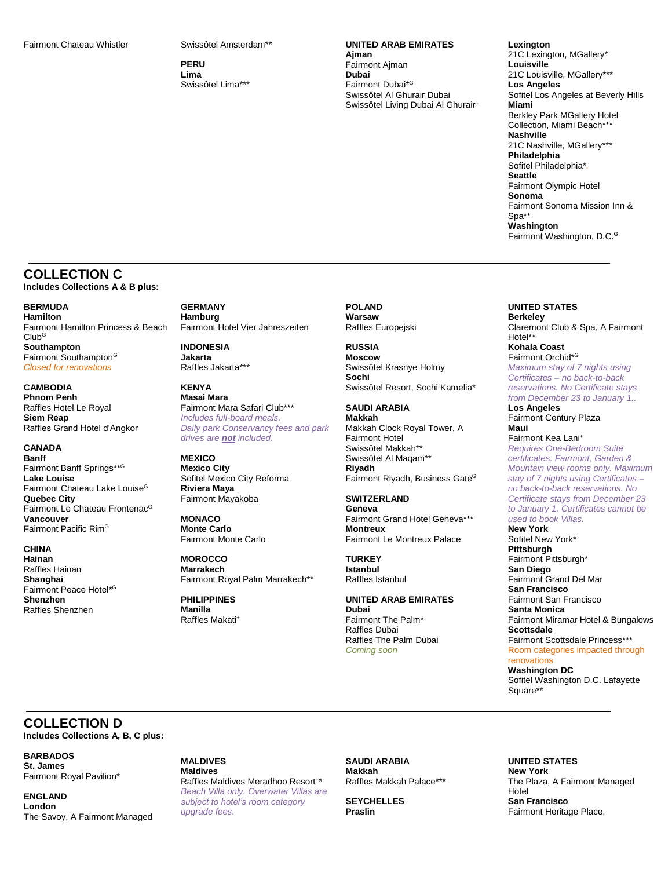**PERU Lima** Swissôtel Lima\*\*\*

## **UNITED ARAB EMIRATES**

**Ajman** Fairmont Ajman **Dubai** Fairmont Dubai\*<sup>G</sup> Swissôtel Al Ghurair Dubai Swissôtel Living Dubai Al Ghurair<sup>+</sup> **Lexington** 21C Lexington, MGallery\* **Louisville** 21C Louisville, MGallery\*\*\* **Los Angeles** Sofitel Los Angeles at Beverly Hills **Miami** Berkley Park MGallery Hotel Collection, Miami Beach\*\*\* **Nashville** 21C Nashville, MGallery\*\*\* **Philadelphia** Sofitel Philadelphia\**.* **Seattle** Fairmont Olympic Hotel **Sonoma**  Fairmont Sonoma Mission Inn &  $S_{n2}$ \*\* **Washington**  Fairmont Washington, D.C.<sup>G</sup>

## **COLLECTION C Includes Collections A & B plus:**

**BERMUDA Hamilton** Fairmont Hamilton Princess & Beach  $Club<sup>G</sup>$ **Southampton** Fairmont Southampton<sup>G</sup> *Closed for renovations*

**CAMBODIA Phnom Penh** Raffles Hotel Le Royal **Siem Reap** Raffles Grand Hotel d'Angkor

**CANADA Banff** Fairmont Banff Springs\*\*<sup>G</sup> **Lake Louise** Fairmont Chateau Lake Louise<sup>G</sup> **Quebec City** Fairmont Le Chateau Frontenac<sup>G</sup> **Vancouver** Fairmont Pacific Rim<sup>G</sup>

**CHINA Hainan** Raffles Hainan **Shanghai** Fairmont Peace Hotel\* G **Shenzhen** Raffles Shenzhen

**GERMANY Hamburg** Fairmont Hotel Vier Jahreszeiten

**INDONESIA Jakarta** Raffles Jakarta\*\*\*

**KENYA Masai Mara** Fairmont Mara Safari Club\*\*\* *Includes full-board meals. Daily park Conservancy fees and park drives are not included.*

**MEXICO Mexico City** Sofitel Mexico City Reforma **Riviera Maya** Fairmont Mayakoba

**MONACO Monte Carlo** Fairmont Monte Carlo

**MOROCCO Marrakech** Fairmont Royal Palm Marrakech\*\*

**PHILIPPINES Manilla** Raffles Makati<sup>+</sup> **POLAND Warsaw** Raffles Europejski

**RUSSIA Moscow** Swissôtel Krasnye Holmy **Sochi** Swissôtel Resort, Sochi Kamelia\*

**SAUDI ARABIA Makkah** Makkah Clock Royal Tower, A Fairmont Hotel Swissôtel Makkah\*\* Swissôtel Al Maqam\*\* **Riyadh** Fairmont Riyadh, Business Gate<sup>G</sup>

**SWITZERLAND Geneva** Fairmont Grand Hotel Geneva\*\*\* **Montreux** Fairmont Le Montreux Palace

**TURKEY Istanbul** Raffles Istanbul

**UNITED ARAB EMIRATES Dubai** Fairmont The Palm\* Raffles Dubai Raffles The Palm Dubai *Coming soon*

**UNITED STATES Berkeley** 

Claremont Club & Spa, A Fairmont Hotel\*\* **Kohala Coast** 

Fairmont Orchid\* G *Maximum stay of 7 nights using Certificates – no back-to-back reservations. No Certificate stays from December 23 to January 1..*

**Los Angeles** Fairmont Century Plaza **Maui**

Fairmont Kea Lani<sup>+</sup> *Requires One-Bedroom Suite certificates. Fairmont, Garden & Mountain view rooms only. Maximum stay of 7 nights using Certificates – no back-to-back reservations. No Certificate stays from December 23 to January 1. Certificates cannot be used to book Villas.*

**New York** Sofitel New York\* **Pittsburgh** Fairmont Pittsburgh\* **San Diego** Fairmont Grand Del Mar **San Francisco** Fairmont San Francisco **Santa Monica** Fairmont Miramar Hotel & Bungalows **Scottsdale** Fairmont Scottsdale Princess\*\*\* Room categories impacted through renovations **Washington DC**

Sofitel Washington D.C. Lafayette Square\*\*

**COLLECTION D Includes Collections A, B, C plus:**

**BARBADOS St. James** Fairmont Royal Pavilion\*

**ENGLAND London** The Savoy, A Fairmont Managed **MALDIVES Maldives** Raffles Maldives Meradhoo Resort<sup>+\*</sup> *Beach Villa only. Overwater Villas are subject to hotel's room category upgrade fees.*

**SAUDI ARABIA Makkah** Raffles Makkah Palace\*\*\*

**SEYCHELLES Praslin**

**UNITED STATES New York** The Plaza, A Fairmont Managed Hotel **San Francisco** Fairmont Heritage Place,